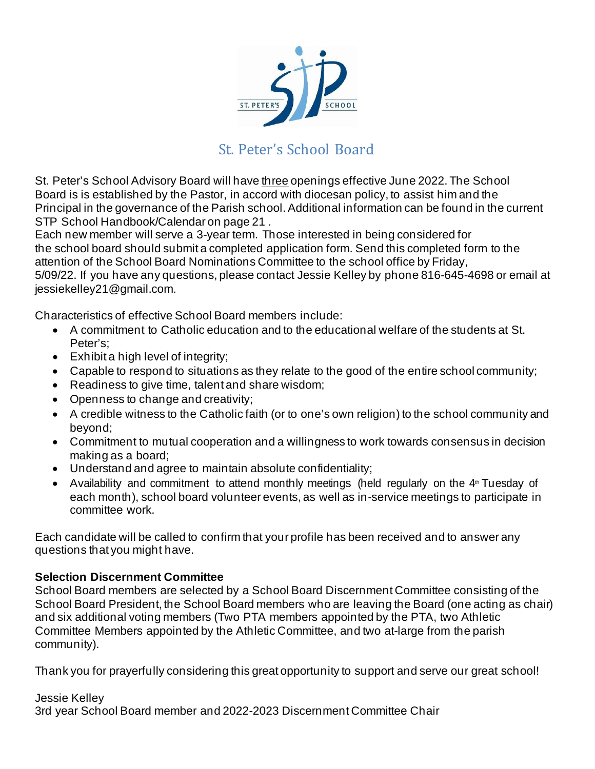

## St. Peter's School Board

St. Peter's School Advisory Board will have three openings effective June 2022. The School Board is is established by the Pastor, in accord with diocesan policy, to assist him and the Principal in the governance of the Parish school. Additional information can be found in the current STP School Handbook/Calendar on page 21 .

Each new member will serve a 3-year term. Those interested in being considered for the school board should submit a completed application form. Send this completed form to the attention of the School Board Nominations Committee to the school office by Friday, 5/09/22. If you have any questions, please contact Jessie Kelley by phone 816-645-4698 or email at [jessiekelley21@gmail.com](mailto:sortbals@yahoo.com).

Characteristics of effective School Board members include:

- A commitment to Catholic education and to the educational welfare of the students at St. Peter's;
- Exhibit a high level of integrity;
- Capable to respond to situations as they relate to the good of the entire school community;
- Readiness to give time, talent and share wisdom;
- Openness to change and creativity;
- A credible witness to the Catholic faith (or to one's own religion) to the school community and beyond;
- Commitment to mutual cooperation and a willingness to work towards consensus in decision making as a board;
- Understand and agree to maintain absolute confidentiality;
- Availability and commitment to attend monthly meetings (held regularly on the  $4<sup>th</sup>$  Tuesday of each month), school board volunteer events, as well as in-service meetings to participate in committee work.

Each candidate will be called to confirm that your profile has been received and to answer any questions that you might have.

## **Selection Discernment Committee**

School Board members are selected by a School Board Discernment Committee consisting of the School Board President, the School Board members who are leaving the Board (one acting as chair) and six additional voting members (Two PTA members appointed by the PTA, two Athletic Committee Members appointed by the Athletic Committee, and two at-large from the parish community).

Thank you for prayerfully considering this great opportunity to support and serve our great school!

## Jessie Kelley 3rd year School Board member and 2022-2023 Discernment Committee Chair